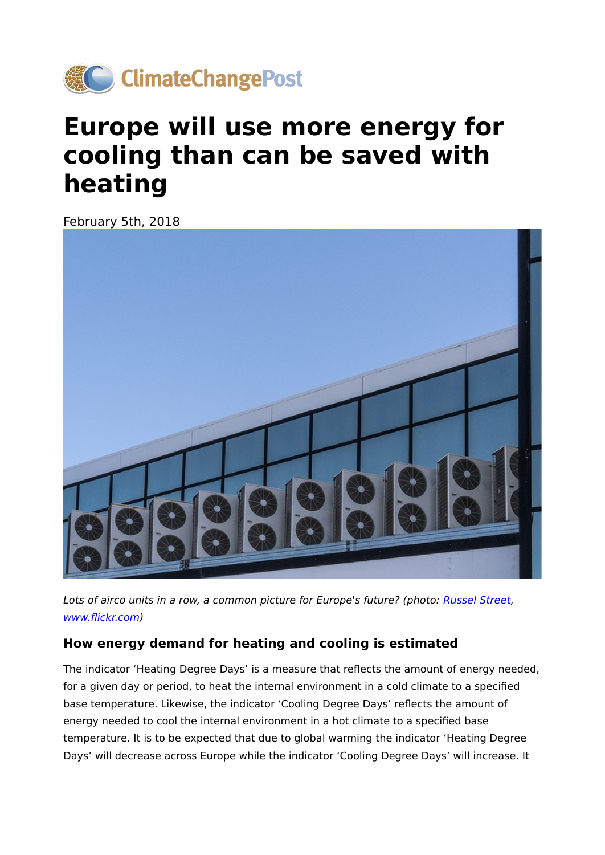

## **Europe will use more energy for cooling than can be saved with heating**

February 5th, 2018



Lots of airco units in a row, a common picture for Europe's future? (photo: [Russel Street,](https://www.flickr.com/photos/russellstreet/9073514679/in/photolist-ePN8Ng-AkJTq-bjzSDV-9WMR7A-azChMm-pa2Snf-mZjAwx-w7qTo-J7Uxc7-4Luir3-85wJDy-rh3Nv-7MsLnw-dBPyL3-ibcjo-EPardd-oSzBRf-i1jZD1-7FHVyZ-6taKMP-6kpDzk-5on1M7-4AGg3i-axssVY-ihK6D-6teSqE-8vAFMH-SThDm-4GWRUb-aESn8Y-4kvLzN-6Cta5k-dJ4Dws-bswCfe-6JZJHe-3mndy-5q1Kev-dX4HYY-93xJJJ-9eecJp-5rGNFU-9Wokj2-6uUsjQ-2cJeyg-7ZmgX3-7iXfu9-5AaRBF-DG4rbx-jqBF5-5TVe8) www.fl[ickr.com](https://www.flickr.com/photos/russellstreet/9073514679/in/photolist-ePN8Ng-AkJTq-bjzSDV-9WMR7A-azChMm-pa2Snf-mZjAwx-w7qTo-J7Uxc7-4Luir3-85wJDy-rh3Nv-7MsLnw-dBPyL3-ibcjo-EPardd-oSzBRf-i1jZD1-7FHVyZ-6taKMP-6kpDzk-5on1M7-4AGg3i-axssVY-ihK6D-6teSqE-8vAFMH-SThDm-4GWRUb-aESn8Y-4kvLzN-6Cta5k-dJ4Dws-bswCfe-6JZJHe-3mndy-5q1Kev-dX4HYY-93xJJJ-9eecJp-5rGNFU-9Wokj2-6uUsjQ-2cJeyg-7ZmgX3-7iXfu9-5AaRBF-DG4rbx-jqBF5-5TVe8))

## **How energy demand for heating and cooling is estimated**

The indicator 'Heating Degree Days' is a measure that reflects the amount of energy needed, for a given day or period, to heat the internal environment in a cold climate to a specified base temperature. Likewise, the indicator 'Cooling Degree Days' reflects the amount of energy needed to cool the internal environment in a hot climate to a specified base temperature. It is to be expected that due to global warming the indicator 'Heating Degree Days' will decrease across Europe while the indicator 'Cooling Degree Days' will increase. It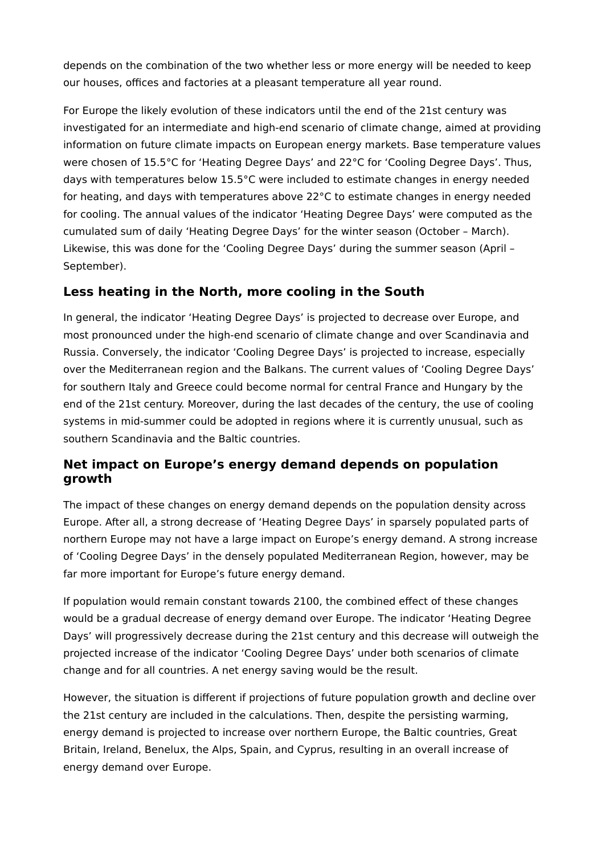depends on the combination of the two whether less or more energy will be needed to keep our houses, offices and factories at a pleasant temperature all year round.

For Europe the likely evolution of these indicators until the end of the 21st century was investigated for an intermediate and high-end scenario of climate change, aimed at providing information on future climate impacts on European energy markets. Base temperature values were chosen of 15.5°C for 'Heating Degree Days' and 22°C for 'Cooling Degree Days'. Thus, days with temperatures below 15.5°C were included to estimate changes in energy needed for heating, and days with temperatures above 22°C to estimate changes in energy needed for cooling. The annual values of the indicator 'Heating Degree Days' were computed as the cumulated sum of daily 'Heating Degree Days' for the winter season (October – March). Likewise, this was done for the 'Cooling Degree Days' during the summer season (April – September).

## **Less heating in the North, more cooling in the South**

In general, the indicator 'Heating Degree Days' is projected to decrease over Europe, and most pronounced under the high-end scenario of climate change and over Scandinavia and Russia. Conversely, the indicator 'Cooling Degree Days' is projected to increase, especially over the Mediterranean region and the Balkans. The current values of 'Cooling Degree Days' for southern Italy and Greece could become normal for central France and Hungary by the end of the 21st century. Moreover, during the last decades of the century, the use of cooling systems in mid-summer could be adopted in regions where it is currently unusual, such as southern Scandinavia and the Baltic countries.

## **Net impact on Europe's energy demand depends on population growth**

The impact of these changes on energy demand depends on the population density across Europe. After all, a strong decrease of 'Heating Degree Days' in sparsely populated parts of northern Europe may not have a large impact on Europe's energy demand. A strong increase of 'Cooling Degree Days' in the densely populated Mediterranean Region, however, may be far more important for Europe's future energy demand.

If population would remain constant towards 2100, the combined effect of these changes would be a gradual decrease of energy demand over Europe. The indicator 'Heating Degree Days' will progressively decrease during the 21st century and this decrease will outweigh the projected increase of the indicator 'Cooling Degree Days' under both scenarios of climate change and for all countries. A net energy saving would be the result.

However, the situation is different if projections of future population growth and decline over the 21st century are included in the calculations. Then, despite the persisting warming, energy demand is projected to increase over northern Europe, the Baltic countries, Great Britain, Ireland, Benelux, the Alps, Spain, and Cyprus, resulting in an overall increase of energy demand over Europe.